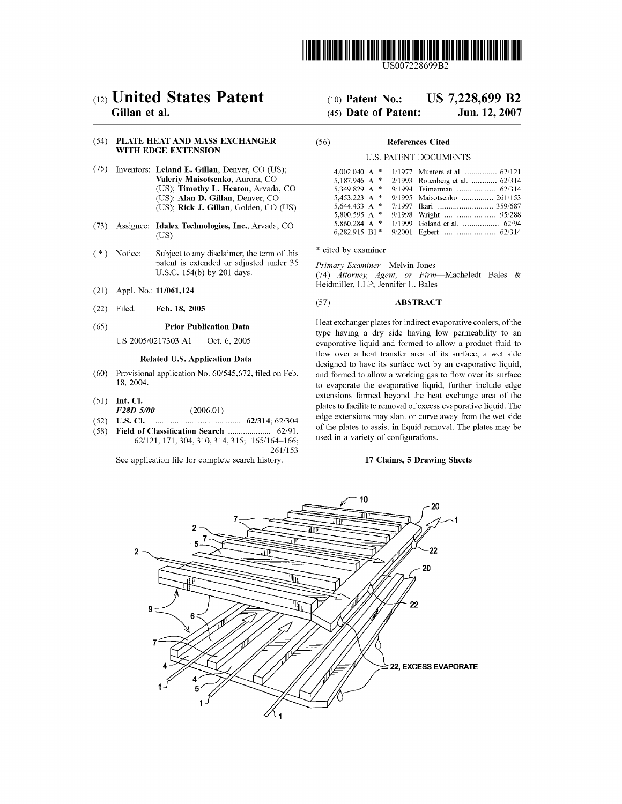

LIS007228699B2

# (12) United States Patent Gillan et al.

# (54) PLATE HEAT AND MASS EXCHANGER WITH EDGE EXTENSION

- (75) Inventors: Leland E. Gillan, Denver, CO (US); Valeriy Maisotsenko, Aurora, CO (US); Timothy L. Heaton, Arvada, CO (US); Alan D. Gillan, Denver, CO (US); Rick J. Gillan, Golden, CO (US)
- (73) Assignee: Idalex Technologies, Inc., Arvada, CO (US)
- (\*) Notice: Subject to any disclaimer, the term of this patent is extended or adjusted under 35 U.S.c. 154(b) by 201 days.
- (21) Appl. No.: 11/061,124
- (22) Filed: Feb. 18, 2005

#### (65) Prior Publication Data

US *2005/0217303* Al Oct. 6,2005

## Related U.S. Application Data

- (60) Provisional application No. *60/545,672,* filed on Feb. 18, 2004.
- (51) Int. Cl.
- *F28D 5/00 (2006.01)*
- (52) U.S. Cl. ........................................... *62/314; 62/304*
- (58) Field of Classification Search .................... *62/91,*  621121,171,304,310,314,315; 1651164-166; 2611153

See application file for complete search history.

# (10) Patent No.: US 7,228,699 B2 (45) Date of Patent: Jun. 12,2007

## (56) References Cited

## U.S. PATENT DOCUMENTS

| 4,002,040 A $*$ | 1/1977 Munters et al.  62/121   |
|-----------------|---------------------------------|
| 5,187,946 A *   | 2/1993 Rotenberg et al.  62/314 |
| 5.349.829 A *   | 9/1994 Tsimerman  62/314        |
| 5.453.223 A $*$ | 9/1995 Maisotsenko  261/153     |
| 5.644.433 A $*$ | 7/1997 Ikari  359/687           |
| 5,800,595 A *   |                                 |
| 5.860.284 A *   | 1/1999 Goland et al.  62/94     |
| 6,282,915 B1*   |                                 |

\* cited by examiner

*Primary Examiner-Melvin* Jones *(74) Attorney, Agent, or Firm-Macheledt* Bales & Heidmiller, LLP; Jennifer L. Bales

# (57) ABSTRACT

Heat exchanger plates for indirect evaporative coolers, of the type having a dry side having low penneability to an evaporative liquid and formed to allow a product fluid to flow over a heat transfer area of its surface, a wet side designed to have its surface wet by an evaporative liquid, and fonned to allow a working gas to flow over its surface to evaporate the evaporative liquid, further include edge extensions fonned beyond the heat exchange area of the plates to facilitate removal of excess evaporative liquid. The edge extensions may slant or curve away from the wet side of the plates to assist in liquid removal. The plates may be used in a variety of configurations.

# 17 Claims, 5 Drawing Sheets

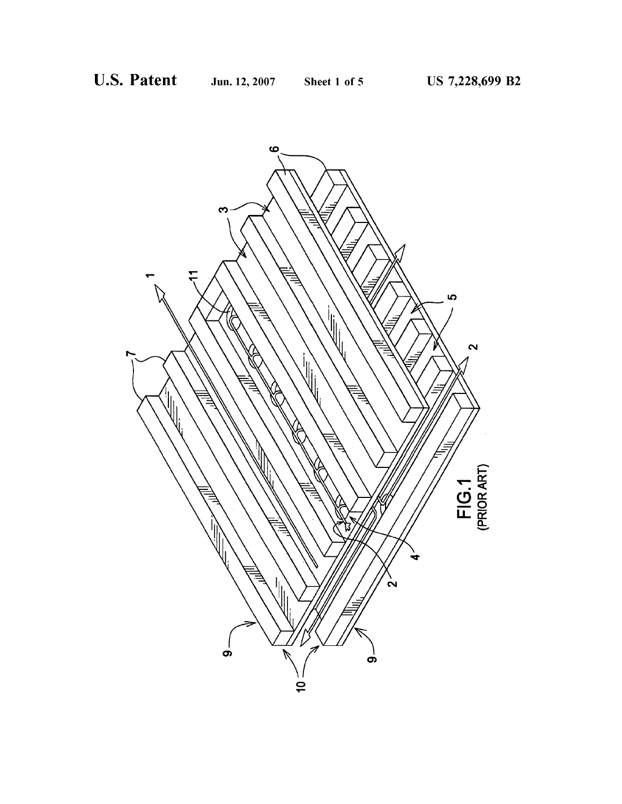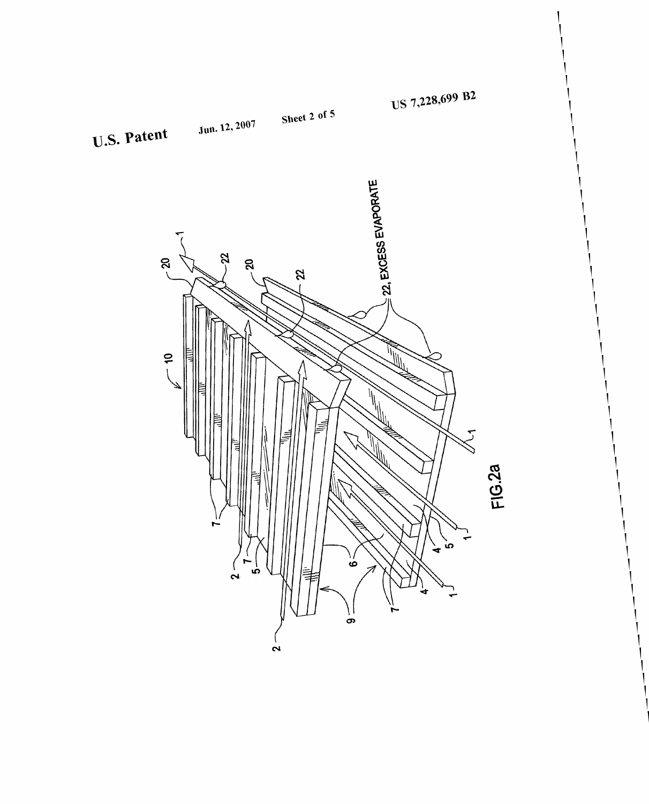

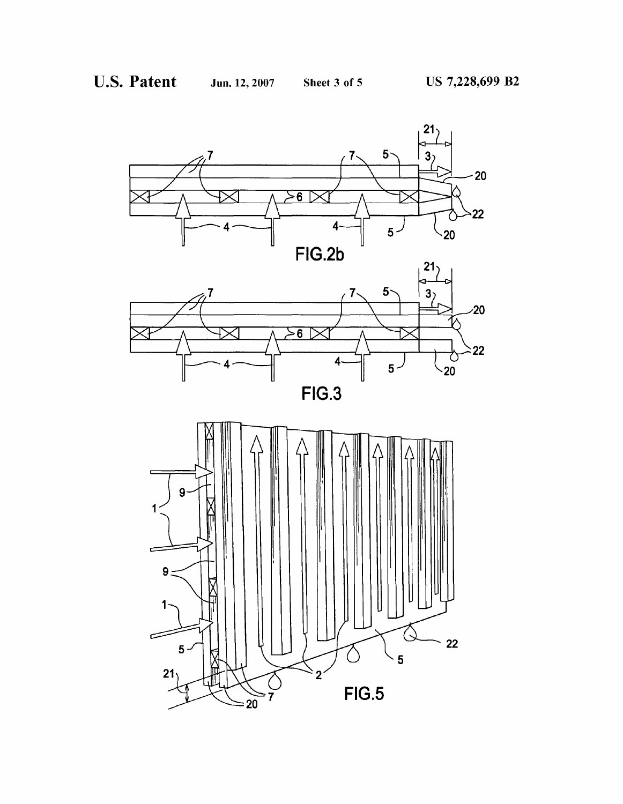





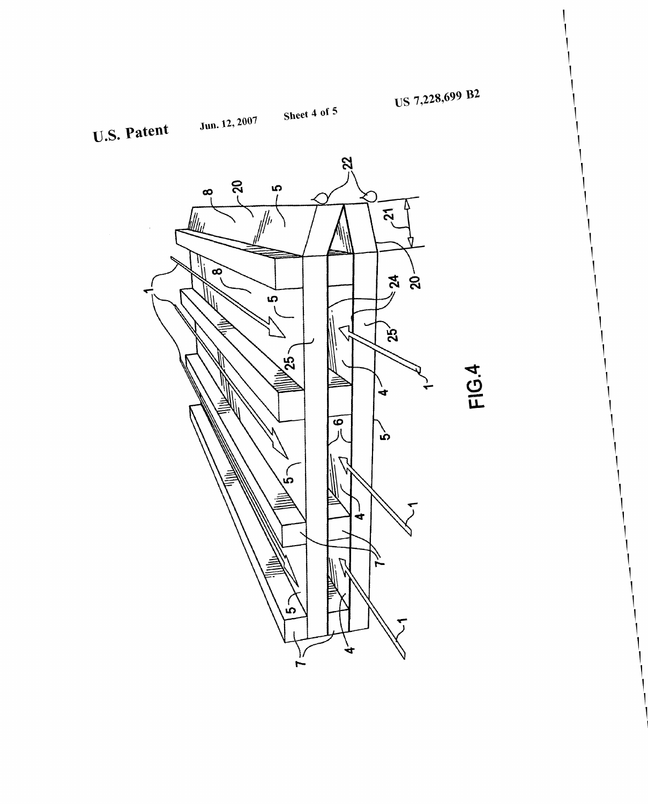





**FIG.4**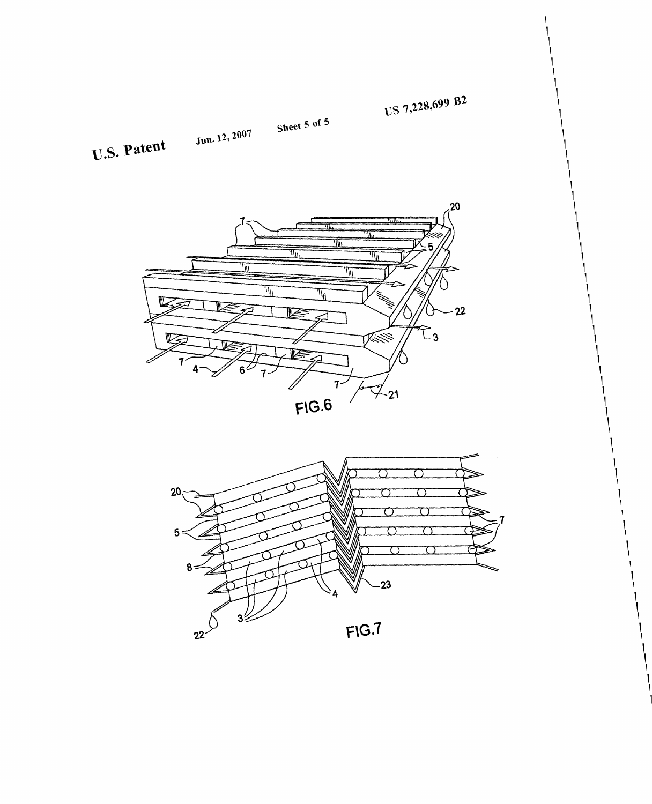US 7,228,699 B2

Jun. 12,  $2007$ 

U.S. Patent



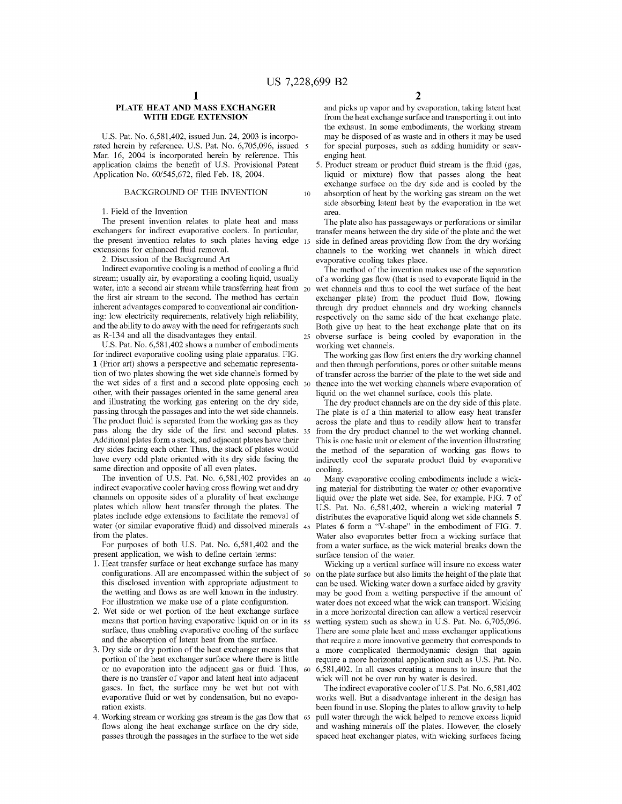# **PLATE HEAT AND** MASS **EXCHANGER WITH EDGE EXTENSION**

U.S. Pat. No. 6,581,402, issued Jun. 24, 2003 is incorporated herein by reference. U.S. Pat. No. 6,705,096, issued 5 Mar. 16, 2004 is incorporated herein by reference. This application claims the benefit of U.S. Provisional Patent Application No. 60/545,672, filed Feb. 18, 2004.

## BACKGROUND OF THE INVENTION  $_{10}$

#### 1. Field of the Invention

The present invention relates to plate heat and mass exchangers for indirect evaporative coolers. In particular, the present invention relates to such plates having edge 15 extensions for enhanced fluid removal.

2. Discussion of the Background Art

Indirect evaporative cooling is a method of cooling a fluid stream; usually air, by evaporating a cooling liquid, usually water, into a second air stream while transferring heat from 20 the first air stream to the second. The method has certain inherent advantages compared to conventional air conditioning: low electricity requirements, relatively high reliability, and the ability to do away with the need for refrigerants such as R-134 and all the disadvantages they entail.

u.s. Pat. No. 6,581,402 shows a number of embodiments for indirect evaporative cooling using plate apparatus. FIG. 1 (Prior art) shows a perspective and schematic representation of two plates showing the wet side channels formed by the wet sides of a first and a second plate opposing each  $30$ other, with their passages oriented in the same general area and illustrating the working gas entering on the dry side, passing through the passages and into the wet side channels. The product fluid is separated from the working gas as they pass along the dry side of the first and second plates. 35 Additional plates form a stack, and adjacent plates have their dry sides facing each other. Thus, the stack of plates would have every odd plate oriented with its dry side facing the same direction and opposite of all even plates.

The invention of U.S. Pat. No.  $6,581,402$  provides an  $40$ indirect evaporative cooler having cross flowing wet and dry channels on opposite sides of a plurality of heat exchange plates which allow heat transfer through the plates. The plates include edge extensions to facilitate the removal of water (or similar evaporative fluid) and dissolved minerals 45 from the plates.

For purposes of both U.S. Pat. No. 6,581,402 and the present application, we wish to define certain terms:

- 1. Heat transfer surface or heat exchange surface has many configurations. All are encompassed within the subject of  $50$ this disclosed invention with appropriate adjustment to the wetting and flows as are well known in the industry. For illustration we make use of a plate configuration.
- 2. Wet side or wet portion of the heat exchange surface means that portion having evaporative liquid on or in its 55 surface, thus enabling evaporative cooling of the surface and the absorption of latent heat from the surface.
- 3. Dry side or dry portion of the heat exchanger means that portion of the heat exchanger surface where there is little or no evaporation into the adjacent gas or fluid. Thus, 60 there is no transfer of vapor and latent heat into adjacent gases. In fact, the surface may be wet but not with evaporative fluid or wet by condensation, but no evaporation exists.
- 4. Working stream or working gas stream is the gas flow that 65 flows along the heat exchange surface on the dry side, passes through the passages in the surface to the wet side

and picks up vapor and by evaporation, taking latent heat from the heat exchange surface and transporting it out into the exhaust. In some embodiments, the working stream may be disposed of as waste and in others it may be used for special purposes, such as adding humidity or scavenging heat.

5. Product stream or product fluid stream is the fluid (gas, liquid or mixture) flow that passes along the heat exchange surface on the dry side and is cooled by the absorption of heat by the working gas stream on the wet side absorbing latent heat by the evaporation in the wet area.

The plate also has passageways or perforations or similar transfer means between the dry side of the plate and the wet side in defined areas providing flow from the dry working channels to the working wet channels in which direct evaporative cooling takes place.

The method of the invention makes use of the separation of a working gas flow (that is used to evaporate liquid in the wet channels and thus to cool the wet surface of the heat exchanger plate) from the product fluid flow, flowing through dry product channels and dry working channels respectively on the same side of the heat exchange plate. Both give up heat to the heat exchange plate that on its obverse surface is being cooled by evaporation in the working wet channels.

The working gas flow first enters the dry working channel and then through perforations, pores or other suitable means of transfer across the barrier of the plate to the wet side and thence into the wet working channels where evaporation of liquid on the wet channel surface, cools this plate.

The dry product channels are on the dry side of this plate. The plate is of a thin material to allow easy heat transfer across the plate and thus to readily allow heat to transfer from the dry product channel to the wet working channel. This is one basic unit or element of the invention illustrating the method of the separation of working gas flows to indirectly cool the separate product fluid by evaporative cooling.

Many evaporative cooling embodiments include a wicking material for distributing the water or other evaporative liquid over the plate wet side. See, for example, FIG. 7 of U.S. Pat. No. 6,581,402, wherein a wicking material 7 distributes the evaporative liquid along wet side channels 5. Plates 6 form a "V-shape" in the embodiment of FIG. 7. Water also evaporates better from a wicking surface that from a water surface, as the wick material breaks down the surface tension of the water.

Wicking up a vertical surface will insure no excess water on the plate surface but also limits the height of the plate that can be used. Wicking water down a surface aided by gravity may be good from a wetting perspective if the amount of water does not exceed what the wick can transport. Wicking in a more horizontal direction can allow a vertical reservoir wetting system such as shown in U.S. Pat. No. 6,705,096. There are some plate heat and mass exchanger applications that require a more innovative geometry that corresponds to a more complicated thermodynamic design that again require a more horizontal application such as U.S. Pat. No. 6,581,402. In all cases creating a means to insure that the wick will not be over run by water is desired.

The indirect evaporative cooler of U.S. Pat. No. 6,581,402 works well. But a disadvantage inherent in the design has been found in use. Sloping the plates to allow gravity to help pull water through the wick helped to remove excess liquid and washing minerals off the plates. However, the closely spaced heat exchanger plates, with wicking surfaces facing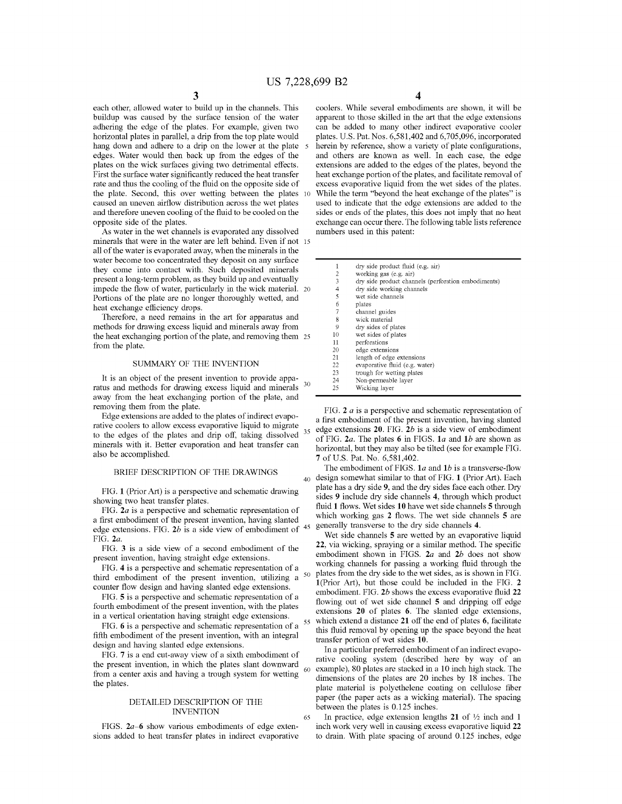each other, allowed water to build up in the channels. This buildup was caused by the surface tension of the water adhering the edge of the plates. For example, given two horizontal plates in parallel, a drip from the top plate would hang down and adhere to a drip on the lower at the plate edges. Water would then back up from the edges of the plates on the wick surfaces giving two detrimental effects. First the surface water significantly reduced the heat transfer rate and thus the cooling of the fluid on the opposite side of the plate. Second, this over wetting between the plates 10 caused an uneven airflow distribution across the wet plates and therefore uneven cooling of the fluid to be cooled on the opposite side of the plates.

As water in the wet channels is evaporated any dissolved minerals that were in the water are left behind. Even if not 15 all of the water is evaporated away, when the minerals in the water become too concentrated they deposit on any surface they come into contact with. Such deposited minerals present a long-term problem, as they build up and eventually impede the flow of water, particularly in the wick material. 20 Portions of the plate are no longer thoroughly wetted, and heat exchange efficiency drops.

Therefore, a need remains in the art for apparatus and methods for drawing excess liquid and minerals away from the heat exchanging portion of the plate, and removing them 25 from the plate.

#### SUMMARY OF THE INVENTION

It is an object of the present invention to provide apparatus and methods for drawing excess liquid and minerals <sup>30</sup> away from the heat exchanging portion of the plate, and removing them from the plate.

Edge extensions are added to the plates of indirect evaporative coolers to allow excess evaporative liquid to migrate to the edges of the plates and drip off, taking dissolved  $35$  edge extensions 20. FIG. 2b is a side view of embodiment to the edges of the plates and drip off, taking dissolved of FIG. 2a. The plates 6 in FIGS, 1a and 1b minerals with it. Better evaporation and heat transfer can also be accomplished.

FIG. 1 (Prior Art) is a perspective and schematic drawing showing two heat transfer plates.

FIG. *2a* is a perspective and schematic representation of a first embodiment of the present invention, having slanted edge extensions. FIG. 2b is a side view of embodiment of <sup>45</sup> FIG.  $2a$ .

FIG. 3 is a side view of a second embodiment of the present invention, having straight edge extensions.

FIG. 4 is a perspective and schematic representation of a third embodiment of the present invention, utilizing a counter flow design and having slanted edge extensions.

FIG. 5 is a perspective and schematic representation of a fourth embodiment of the present invention, with the plates in a vertical orientation having straight edge extensions.

FIG. 6 is a perspective and schematic representation of a fifth embodiment of the present invention, with an integral design and having slanted edge extensions.

FIG. 7 is a end cut-away view of a sixth embodiment of the present invention, in which the plates slant downward from a center axis and having a trough system for wetting the plates.

#### DETAILED DESCRIPTION OF THE INVENTION

FIGS. *2a-6* show various embodiments of edge extensions added to heat transfer plates in indirect evaporative

65

coolers. While several embodiments are shown, it will be apparent to those skilled in the art that the edge extensions can be added to many other indirect evaporative cooler plates. U.S. Pat. Nos. 6,581,402 and 6,705,096, incorporated herein by reference, show a variety of plate configurations, and others are known as well. In each case, the edge extensions are added to the edges of the plates, beyond the heat exchange portion of the plates, and facilitate removal of excess evaporative liquid from the wet sides of the plates. While the term "beyond the heat exchange of the plates" is used to indicate that the edge extensions are added to the sides or ends of the plates, this does not imply that no heat exchange can occur there. The following table lists reference numbers used in this patent:

| $\overline{1}$ | dry side product fluid (e.g. air)                   |
|----------------|-----------------------------------------------------|
| 2              | working gas (e.g. air)                              |
| 3              | dry side product channels (perforation embodiments) |
| 4              | dry side working channels                           |
| 5              | wet side channels                                   |
| 6              | plates                                              |
| 7              | channel guides                                      |
| 8              | wick material                                       |
| 9              | dry sides of plates                                 |
| 10             | wet sides of plates                                 |
| 11             | perforations                                        |
| 20             | edge extensions                                     |
| 21             | length of edge extensions                           |
| 22             | evaporative fluid (e.g. water)                      |
| 23             | trough for wetting plates                           |
| 24             | Non-permeable layer                                 |
| 25             | Wicking layer                                       |
|                |                                                     |

FIG. 2 *a* is a perspective and schematic representation of a first embodiment of the present invention, having slanted of FIG. *2a.* The plates 6 in FIGS. *1a* and *1b* are shown as horizontal, but they may also be tilted (see for example FIG. 7 of U.S. Pat. No. 6,581,402.

The embodiment of FIGS. 1*a* and 1*b* is a transverse-flow BRIEF DESCRIPTION OF THE DRAWINGS 40 design somewhat similar to that of FIG. 1 (Prior Art). Each plate has a dry side 9, and the dry sides face each other. Dry sides 9 include dry side channels 4, through which product fluid 1 flows. Wet sides 10 have wet side channels 5 through which working gas 2 flows. The wet side channels 5 are 45 generally transverse to the dry side channels 4.

> Wet side channels 5 are wetted by an evaporative liquid 22, via wicking, spraying or a similar method. The specific embodiment shown in FIGS. *2a* and *2b* does not show working channels for passing a working fluid through the plates from the dry side to the wet sides, as is shown in FIG. l(Prior Art), but those could be included in the FIG. 2 embodiment. FIG. *2b* shows the excess evaporative fluid 22 flowing out of wet side channel 5 and dripping off edge extensions 20 of plates 6. The slanted edge extensions, which extend a distance 21 off the end of plates 6, facilitate this fluid removal by opening up the space beyond the heat transfer portion of wet sides 10.

> In a particular preferred embodiment of an indirect evaporative cooling system (described here by way of an example), 80 plates are stacked in a 10 inch high stack. The dimensions of the plates are 20 inches by 18 inches. The plate material is polyethelene coating on cellulose fiber paper (the paper acts as a wicking material). The spacing between the plates is 0.125 inches.

> In practice, edge extension lengths 21 of  $\frac{1}{2}$  inch and 1 inch work very well in causing excess evaporative liquid 22 to drain. With plate spacing of around 0.125 inches, edge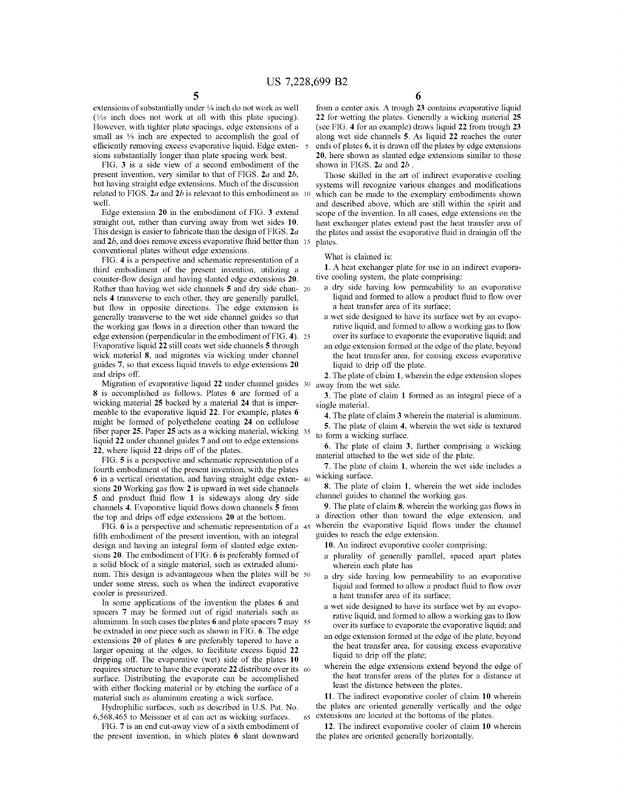extensions of substantially under 1/4 inch do not work as well  $(1/16$  inch does not work at all with this plate spacing). However, with tighter plate spacings, edge extensions of a small as <sup>1/8</sup> inch are expected to accomplish the goal of efficiently removing excess evaporative liquid. Edge extensions substantially longer than plate spacing work best.

FIG. 3 is a side view of a second embodiment of the present invention, very similar to that of FIGS. *2a* and *2b,*  but having straight edge extensions. Much of the discussion related to FIGS. *2a* and *2b* is relevant to this embodiment as 10 well.

Edge extension 20 in the embodiment of FIG. 3 extend straight out, rather than curving away from wet sides 10. This design is easier to fabricate than the design of FIGS. *2a*  and 2*b*, and does remove excess evaporative fluid better than 15 conventional plates without edge extensions.

FIG. 4 is a perspective and schematic representation of a third embodiment of the present invention, utilizing a counter-flow design and having slanted edge extensions 20. Rather than having wet side channels 5 and dry side chan- 20 nels 4 transverse to each other, they are generally parallel, but flow in opposite directions. The edge extension is generally transverse to the wet side channel guides so that the working gas flows in a direction other than toward the edge extension (perpendicular in the embodiment of FIG. 4). 25 Evaporative liquid 22 still coats wet side channels 5 through wick material 8, and migrates via wicking under channel guides 7, so that excess liquid travels to edge extensions 20 and drips off.

Migration of evaporative liquid 22 under channel guides 30 8 is accomplished as follows. Plates 6 are formed of a wicking material 25 backed by a material **24** that is impermeable to the evaporative liquid 22. For example, plates 6 might be fonned of polyethelene coating **24** on cellulose fiber paper 25. Paper 25 acts as a wicking material, wicking 35 liquid 22 under channel guides 7 and out to edge extensions 22, where liquid 22 drips off of the plates.

FIG. 5 is a perspective and schematic representation of a fourth embodiment of the present invention, with the plates 6 in a vertical orientation, and having straight edge exten- 40 sions 20 Working gas flow 2 is upward in wet side channels 5 and product fluid flow 1 is sideways along dry side channels 4. Evaporative liquid flows down channels 5 from the top and drips off edge extensions 20 at the bottom.

FIG. 6 is a perspective and schematic representation of a 45 fifth embodiment of the present invention, with an integral design and having an integral form of slanted edge extensions 20. The embodiment of FIG. 6 is preferably fonned of a solid block of a single material, such as extruded aluminum. This design is advantageous when the plates will be 50 under some stress, such as when the indirect evaporative cooler is pressurized.

In some applications of the invention the plates 6 and spacers 7 may be fonned out of rigid materials such as aluminum. In such cases the plates 6 and plate spacers 7 may 55 be extruded in one piece such as shown in FIG. 6. The edge extensions 20 of plates 6 are preferably tapered to have a larger opening at the edges, to facilitate excess liquid 22 dripping off. The evaporative (wet) side of the plates **10**  requires structure to have the evaporate 22 distribute over its 60 surface. Distributing the evaporate can be accomplished with either flocking material or by etching the surface of a material such as aluminum creating a wick surface.

Hydrophilic surfaces, such as described in U.S. Pat. No. 6,568,465 to Meissner et al can act as wicking surfaces.

FIG. 7 is an end cut-away view of a sixth embodiment of the present invention, in which plates 6 slant downward from a center axis. A trough 23 contains evaporative liquid 22 for wetting the plates. Generally a wicking material 25 (see FIG. 4 for an example) draws liquid 22 from trough 23 along wet side channels 5. As liquid 22 reaches the outer ends of plates 6, it is drawn off the plates by edge extensions 20, here shown as slanted edge extensions similar to those shown in FIGS. *2a* and *2b .* 

Those skilled in the art of indirect evaporative cooling systems will recognize various changes and modifications which can be made to the exemplary embodiments shown and described above, which are still within the spirit and scope of the invention. In all cases, edge extensions on the heat exchanger plates extend past the heat transfer area of the plates and assist the evaporative fluid in draingin off the plates.

What is claimed is:

1. A heat exchanger plate for use in an indirect evaporative cooling system, the plate comprising:

- a dry side having low penneability to an evaporative liquid and formed to allow a product fluid to flow over a heat transfer area of its surface;
- a wet side designed to have its surface wet by an evaporative liquid, and formed to allow a working gas to flow over its surface to evaporate the evaporative liquid; and
- an edge extension formed at the edge of the plate, beyond the heat transfer area, for causing excess evaporative liquid to drip off the plate.
- 2. The plate of claim 1, wherein the edge extension slopes away from the wet side.
- 3. The plate of claim 1 fonned as an integral piece of a single material.
	- 4. The plate of claim 3 wherein the material is aluminum.
- 5. The plate of claim 4, wherein the wet side is textured to fonn a wicking surface.

6. The plate of claim 3, further comprising a wicking material attached to the wet side of the plate.

7. The plate of claim 1, wherein the wet side includes a wicking surface.

8. The plate of claim 1, wherein the wet side includes channel guides to channel the working gas.

9. The plate of claim 8, wherein the working gas flows in a direction other than toward the edge extension, and wherein the evaporative liquid flows under the channel guides to reach the edge extension.

10. An indirect evaporative cooler comprising:

- a plurality of generally parallel, spaced apart plates wherein each plate has
- a dry side having low penneability to an evaporative liquid and formed to allow a product fluid to flow over a heat transfer area of its surface;
- a wet side designed to have its surface wet by an evaporative liquid, and formed to allow a working gas to flow over its surface to evaporate the evaporative liquid; and
- an edge extension formed at the edge of the plate, beyond the heat transfer area, for causing excess evaporative liquid to drip off the plate;
- wherein the edge extensions extend beyond the edge of the heat transfer areas of the plates for a distance at least the distance between the plates.

11. The indirect evaporative cooler of claim 10 wherein the plates are oriented generally vertically and the edge 65 extensions are located at the bottoms of the plates.

12. The indirect evaporative cooler of claim **10** wherein the plates are oriented generally horizontally.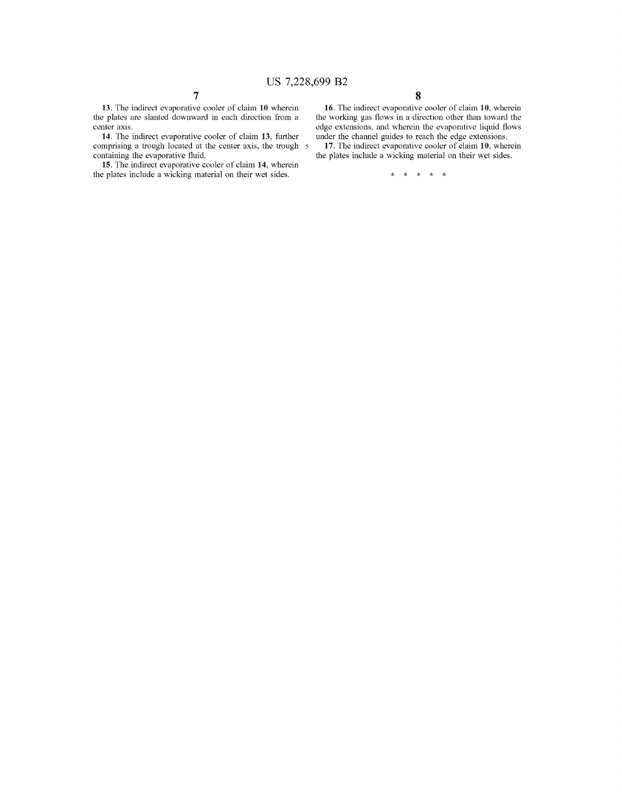13. The indirect evaporative cooler of claim **10** wherein the plates are slanted downward in each direction from a center axis.

**14.** The indirect evaporative cooler of claim **13,** further comprising a trough located at the center axis, the trough 5 containing the evaporative fluid.

**15.** The indirect evaporative cooler of claim **14,** wherein the plates include a wicking material on their wet sides.

**16.** The indirect evaporative cooler of claim **10,** wherein the working gas flows in a direction other than toward the edge extensions, and wherein the evaporative liquid flows under the channel guides to reach the edge extensions.

**17.** The indirect evaporative cooler of claim **10,** wherein the plates include a wicking material on their wet sides.

\* \* \* \* \*